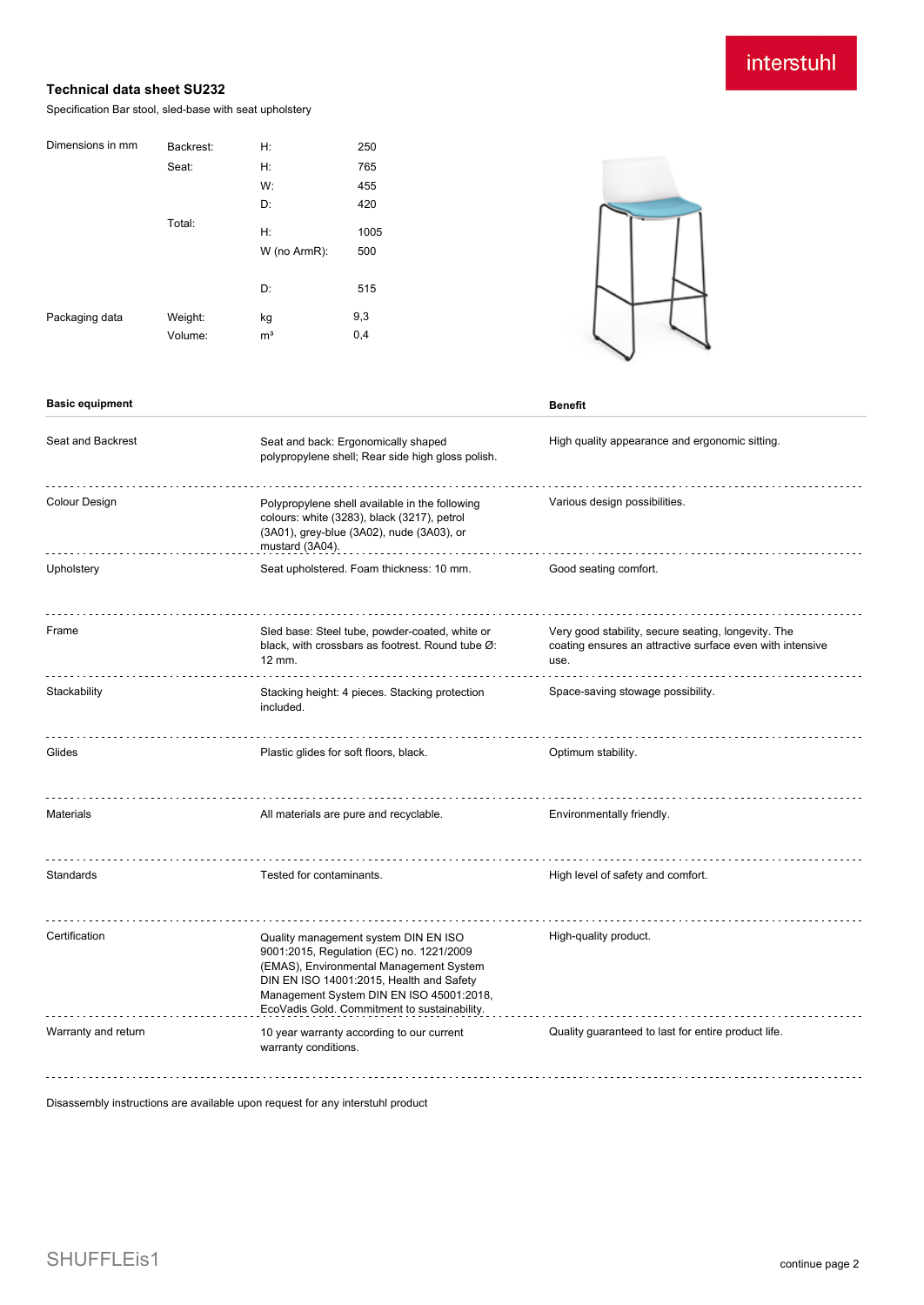# interstuhl

### **Technical data sheet SU232**

Specification Bar stool, sled-base with seat upholstery

| Dimensions in mm | Backrest: | H:             | 250  |
|------------------|-----------|----------------|------|
|                  | Seat:     | Н:             | 765  |
|                  |           | W:             | 455  |
|                  |           | D:             | 420  |
|                  | Total:    | H:             | 1005 |
|                  |           | W (no ArmR):   | 500  |
|                  |           | D:             | 515  |
|                  |           |                |      |
| Packaging data   | Weight:   | kg             | 9,3  |
|                  | Volume:   | m <sup>3</sup> | 0,4  |



### **Basic equipment Benefit**

| Seat and Backrest   | Seat and back: Ergonomically shaped<br>polypropylene shell; Rear side high gloss polish.                                                                                                                                                                            | High quality appearance and ergonomic sitting.                                                                           |  |
|---------------------|---------------------------------------------------------------------------------------------------------------------------------------------------------------------------------------------------------------------------------------------------------------------|--------------------------------------------------------------------------------------------------------------------------|--|
| Colour Design       | Polypropylene shell available in the following<br>colours: white (3283), black (3217), petrol<br>(3A01), grey-blue (3A02), nude (3A03), or<br>mustard (3A04).                                                                                                       | Various design possibilities.                                                                                            |  |
| Upholstery          | Seat upholstered. Foam thickness: 10 mm.                                                                                                                                                                                                                            | Good seating comfort.                                                                                                    |  |
| Frame               | Sled base: Steel tube, powder-coated, white or<br>black, with crossbars as footrest. Round tube Ø:<br>12 mm.                                                                                                                                                        | Very good stability, secure seating, longevity. The<br>coating ensures an attractive surface even with intensive<br>use. |  |
| Stackability        | Stacking height: 4 pieces. Stacking protection<br>included.                                                                                                                                                                                                         | Space-saving stowage possibility.                                                                                        |  |
| Glides              | Plastic glides for soft floors, black.                                                                                                                                                                                                                              | Optimum stability.                                                                                                       |  |
| <b>Materials</b>    | All materials are pure and recyclable.                                                                                                                                                                                                                              | Environmentally friendly.                                                                                                |  |
| Standards           | Tested for contaminants.                                                                                                                                                                                                                                            | High level of safety and comfort.                                                                                        |  |
| Certification       | Quality management system DIN EN ISO<br>9001:2015, Regulation (EC) no. 1221/2009<br>(EMAS), Environmental Management System<br>DIN EN ISO 14001:2015, Health and Safety<br>Management System DIN EN ISO 45001:2018,<br>EcoVadis Gold. Commitment to sustainability. | High-quality product.                                                                                                    |  |
| Warranty and return | 10 year warranty according to our current<br>warranty conditions.                                                                                                                                                                                                   | Quality guaranteed to last for entire product life.                                                                      |  |

Disassembly instructions are available upon request for any interstuhl product